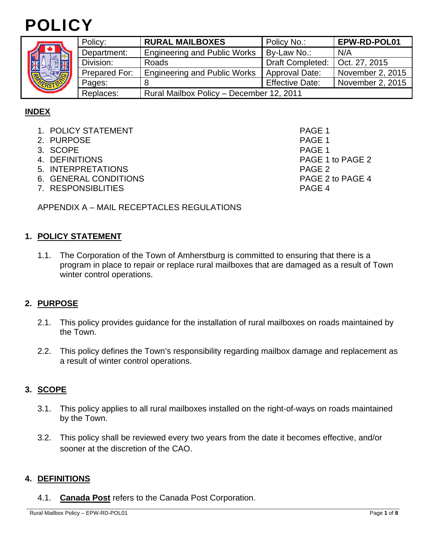



| S<br><b>NEW ROAD</b> | Policy:       | <b>RURAL MAILBOXES</b>                   | Policy No.:            | EPW-RD-POL01     |
|----------------------|---------------|------------------------------------------|------------------------|------------------|
|                      | Department:   | <b>Engineering and Public Works</b>      | By-Law No.:            | N/A              |
|                      | Division:     | Roads                                    | Draft Completed:       | Oct. 27, 2015    |
|                      | Prepared For: | <b>Engineering and Public Works</b>      | Approval Date:         | November 2, 2015 |
|                      | Pages:        |                                          | <b>Effective Date:</b> | November 2, 2015 |
|                      | Replaces:     | Rural Mailbox Policy - December 12, 2011 |                        |                  |

# **INDEX**

- 1. POLICY STATEMENT And the state of the state of the page 1
- 2. PURPOSE PAGE 1
- 3. SCOPE PAGE 1
- 
- 5. INTERPRETATIONS PAGE 2
- 6. GENERAL CONDITIONS PAGE 2 to PAGE 4
- 7. RESPONSIBLITIES PAGE 4

4. DEFINITIONS PAGE 1 to PAGE 2

APPENDIX A – MAIL RECEPTACLES REGULATIONS

## **1. POLICY STATEMENT**

1.1. The Corporation of the Town of Amherstburg is committed to ensuring that there is a program in place to repair or replace rural mailboxes that are damaged as a result of Town winter control operations.

## **2. PURPOSE**

- 2.1. This policy provides guidance for the installation of rural mailboxes on roads maintained by the Town.
- 2.2. This policy defines the Town's responsibility regarding mailbox damage and replacement as a result of winter control operations.

## **3. SCOPE**

- 3.1. This policy applies to all rural mailboxes installed on the right-of-ways on roads maintained by the Town.
- 3.2. This policy shall be reviewed every two years from the date it becomes effective, and/or sooner at the discretion of the CAO.

\_\_\_\_\_\_\_\_\_\_\_\_\_\_\_\_\_\_\_\_\_\_\_\_\_\_\_\_\_\_\_\_\_\_\_\_\_\_\_\_\_\_\_\_\_\_\_\_\_\_\_\_\_\_\_\_\_\_\_\_\_\_\_\_\_\_\_\_\_\_\_\_\_\_\_\_\_\_\_\_\_\_\_\_\_\_\_\_\_\_\_\_\_\_\_\_\_\_\_\_\_\_\_\_\_\_\_\_\_\_\_\_\_\_\_\_\_\_\_\_\_\_\_\_\_\_\_\_\_\_\_\_\_\_\_

## **4. DEFINITIONS**

4.1. **Canada Post** refers to the Canada Post Corporation.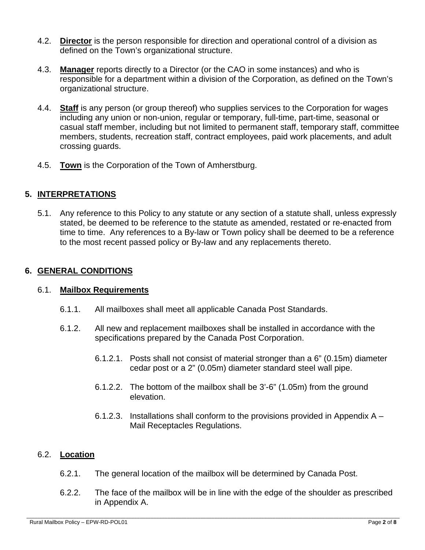- 4.2. **Director** is the person responsible for direction and operational control of a division as defined on the Town's organizational structure.
- 4.3. **Manager** reports directly to a Director (or the CAO in some instances) and who is responsible for a department within a division of the Corporation, as defined on the Town's organizational structure.
- 4.4. **Staff** is any person (or group thereof) who supplies services to the Corporation for wages including any union or non-union, regular or temporary, full-time, part-time, seasonal or casual staff member, including but not limited to permanent staff, temporary staff, committee members, students, recreation staff, contract employees, paid work placements, and adult crossing guards.
- 4.5. **Town** is the Corporation of the Town of Amherstburg.

# **5. INTERPRETATIONS**

5.1. Any reference to this Policy to any statute or any section of a statute shall, unless expressly stated, be deemed to be reference to the statute as amended, restated or re-enacted from time to time. Any references to a By-law or Town policy shall be deemed to be a reference to the most recent passed policy or By-law and any replacements thereto.

## **6. GENERAL CONDITIONS**

## 6.1. **Mailbox Requirements**

- 6.1.1. All mailboxes shall meet all applicable Canada Post Standards.
- 6.1.2. All new and replacement mailboxes shall be installed in accordance with the specifications prepared by the Canada Post Corporation.
	- 6.1.2.1. Posts shall not consist of material stronger than a 6" (0.15m) diameter cedar post or a 2" (0.05m) diameter standard steel wall pipe.
	- 6.1.2.2. The bottom of the mailbox shall be 3'-6" (1.05m) from the ground elevation.
	- 6.1.2.3. Installations shall conform to the provisions provided in Appendix A Mail Receptacles Regulations.

## 6.2. **Location**

- 6.2.1. The general location of the mailbox will be determined by Canada Post.
- 6.2.2. The face of the mailbox will be in line with the edge of the shoulder as prescribed in Appendix A.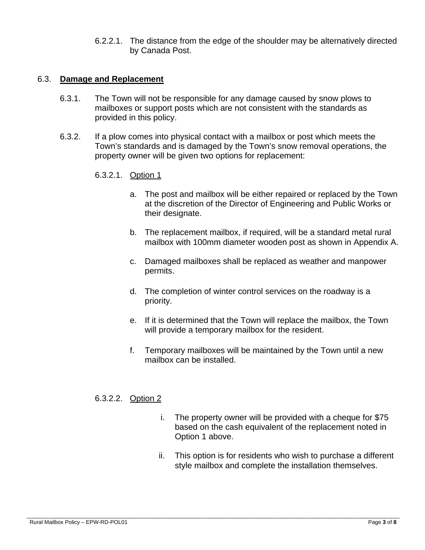6.2.2.1. The distance from the edge of the shoulder may be alternatively directed by Canada Post.

### 6.3. **Damage and Replacement**

- 6.3.1. The Town will not be responsible for any damage caused by snow plows to mailboxes or support posts which are not consistent with the standards as provided in this policy.
- 6.3.2. If a plow comes into physical contact with a mailbox or post which meets the Town's standards and is damaged by the Town's snow removal operations, the property owner will be given two options for replacement:
	- 6.3.2.1. Option 1
		- a. The post and mailbox will be either repaired or replaced by the Town at the discretion of the Director of Engineering and Public Works or their designate.
		- b. The replacement mailbox, if required, will be a standard metal rural mailbox with 100mm diameter wooden post as shown in Appendix A.
		- c. Damaged mailboxes shall be replaced as weather and manpower permits.
		- d. The completion of winter control services on the roadway is a priority.
		- e. If it is determined that the Town will replace the mailbox, the Town will provide a temporary mailbox for the resident.
		- f. Temporary mailboxes will be maintained by the Town until a new mailbox can be installed.

## 6.3.2.2. Option 2

- i. The property owner will be provided with a cheque for \$75 based on the cash equivalent of the replacement noted in Option 1 above.
- ii. This option is for residents who wish to purchase a different style mailbox and complete the installation themselves.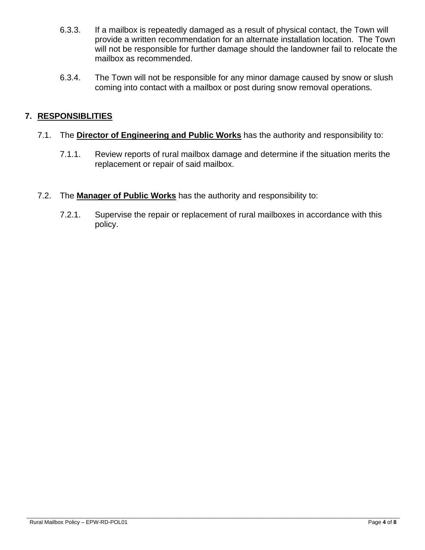- 6.3.3. If a mailbox is repeatedly damaged as a result of physical contact, the Town will provide a written recommendation for an alternate installation location. The Town will not be responsible for further damage should the landowner fail to relocate the mailbox as recommended.
- 6.3.4. The Town will not be responsible for any minor damage caused by snow or slush coming into contact with a mailbox or post during snow removal operations.

# **7. RESPONSIBLITIES**

- 7.1. The **Director of Engineering and Public Works** has the authority and responsibility to:
	- 7.1.1. Review reports of rural mailbox damage and determine if the situation merits the replacement or repair of said mailbox.
- 7.2. The **Manager of Public Works** has the authority and responsibility to:
	- 7.2.1. Supervise the repair or replacement of rural mailboxes in accordance with this policy.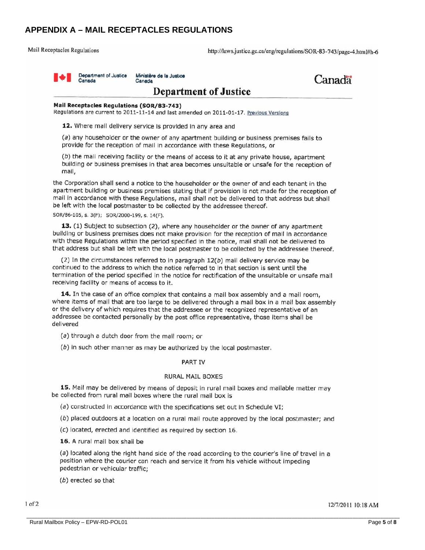## **APPENDIX A – MAIL RECEPTACLES REGULATIONS**

**Mail Receptacles Regulations** 

http://laws.justice.gc.ca/eng/regulations/SOR-83-743/page-4.html#h-6



Ministère de la Justice Canada



## **Department of Justice**

#### Mail Receptacles Regulations (SOR/83-743)

Regulations are current to 2011-11-14 and last amended on 2011-01-17. Previous Versions

12. Where mail delivery service is provided in any area and

(a) any householder or the owner of any apartment building or business premises fails to provide for the reception of mail in accordance with these Regulations, or

(b) the mail receiving facility or the means of access to it at any private house, apartment building or business premises in that area becomes unsuitable or unsafe for the reception of mail.

the Corporation shall send a notice to the householder or the owner of and each tenant in the apartment building or business premises stating that if provision is not made for the reception of mail in accordance with these Regulations, mail shall not be delivered to that address but shall be left with the local postmaster to be collected by the addressee thereof.

SOR/86-105, s. 3(F); SOR/2000-199, s. 14(F).

13. (1) Subject to subsection (2), where any householder or the owner of any apartment building or business premises does not make provision for the reception of mail in accordance with these Regulations within the period specified in the notice, mail shall not be delivered to that address but shall be left with the local postmaster to be collected by the addressee thereof.

(2) In the circumstances referred to in paragraph  $12(b)$  mail delivery service may be continued to the address to which the notice referred to in that section is sent until the termination of the period specified in the notice for rectification of the unsuitable or unsafe mail receiving facility or means of access to it.

14. In the case of an office complex that contains a mail box assembly and a mail room, where items of mall that are too large to be delivered through a mail box in a mail box assembly or the delivery of which requires that the addressee or the recognized representative of an addressee be contacted personally by the post office representative, those items shall be delivered

(a) through a dutch door from the mail room; or

(b) in such other manner as may be authorized by the local postmaster.

#### **PART IV**

### **RURAL MAIL BOXES**

15. Mail may be delivered by means of deposit in rural mail boxes and mailable matter may be collected from rural mail boxes where the rural mail box is

(a) constructed in accordance with the specifications set out in Schedule VI;

(b) placed outdoors at a location on a rural mail route approved by the local postmaster; and

(c) located, erected and identified as required by section 16.

16. A rural mail box shall be

(a) located along the right hand side of the road according to the courier's line of travel in a position where the courier can reach and service it from his vehicle without impeding pedestrian or vehicular traffic;

(b) erected so that

12/7/2011 10:18 AM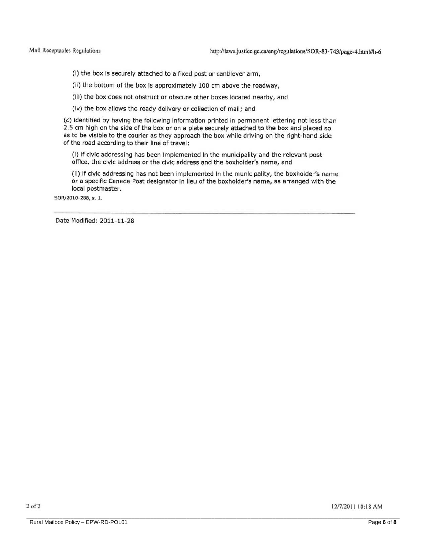(I) the box is securely attached to a fixed post or cantilever arm,

(ii) the bottom of the box is approximately 100 cm above the roadway,

(Iii) the box does not obstruct or obscure other boxes located nearby, and

(iv) the box allows the ready delivery or collection of mail; and

(c) identified by having the following information printed in permanent lettering not less than 2.5 cm high on the side of the box or on a plate securely attached to the box and placed so as to be visible to the courier as they approach the box while driving on the right-hand side of the road according to their line of travel;

(i) if civic addressing has been implemented in the municipality and the relevant post office, the civic address or the civic address and the boxholder's name, and

(ii) if civic addressing has not been implemented in the municipality, the boxholder's name or a specific Canada Post designator in lieu of the boxholder's name, as arranged with the local postmaster.

SOR/2010-288, s. 1.

Date Modified: 2011-11-28

12/7/2011 10:18 AM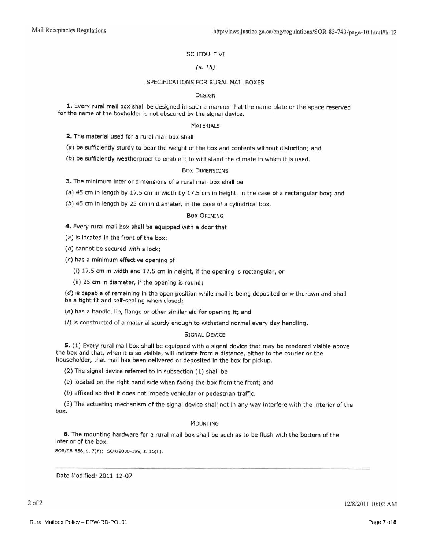#### **SCHEDULE VI**

### $(S. 15)$

#### SPECIFICATIONS FOR RURAL MAIL BOXES

#### **DESIGN**

1. Every rural mail box shall be designed in such a manner that the name plate or the space reserved for the name of the boxholder is not obscured by the signal device.

#### **MATERIALS**

2. The material used for a rural mail box shall

(a) be sufficiently sturdy to bear the weight of the box and contents without distortion; and

(b) be sufficiently weatherproof to enable it to withstand the climate in which it is used.

#### **BOX DIMENSIONS**

3. The minimum interior dimensions of a rural mail box shall be

(a) 45 cm in length by 17.5 cm in width by 17.5 cm in height, in the case of a rectangular box; and

(b) 45 cm in length by 25 cm in diameter, in the case of a cylindrical box.

#### **BOX OPENING**

4. Every rural mail box shall be equipped with a door that

 $(a)$  is located in the front of the box;

(b) cannot be secured with a lock;

(c) has a minimum effective opening of

(i) 17.5 cm in width and 17.5 cm in height, if the opening is rectangular, or

(ii) 25 cm in diameter, if the opening is round;

(d) is capable of remaining in the open position while mail is being deposited or withdrawn and shall be a tight fit and self-sealing when closed;

(e) has a handle, lip, flange or other similar aid for opening it; and

(f) is constructed of a material sturdy enough to withstand normal every day handling.

### **SIGNAL DEVICE**

5. (1) Every rural mail box shall be equipped with a signal device that may be rendered visible above the box and that, when it is so visible, will indicate from a distance, either to the courier or the householder, that mail has been delivered or deposited in the box for pickup.

(2) The signal device referred to in subsection (1) shall be

(a) located on the right hand side when facing the box from the front; and

(b) affixed so that it does not impede vehicular or pedestrian traffic.

(3) The actuating mechanism of the signal device shall not in any way interfere with the interior of the box.

#### **MOUNTING**

6. The mounting hardware for a rural mail box shall be such as to be flush with the bottom of the interior of the box.

SOR/98-558, s. 7(F); SOR/2000-199, s. 15(F).

Date Modified: 2011-12-07

 $2$  of  $2$ 

12/8/2011 10:02 AM